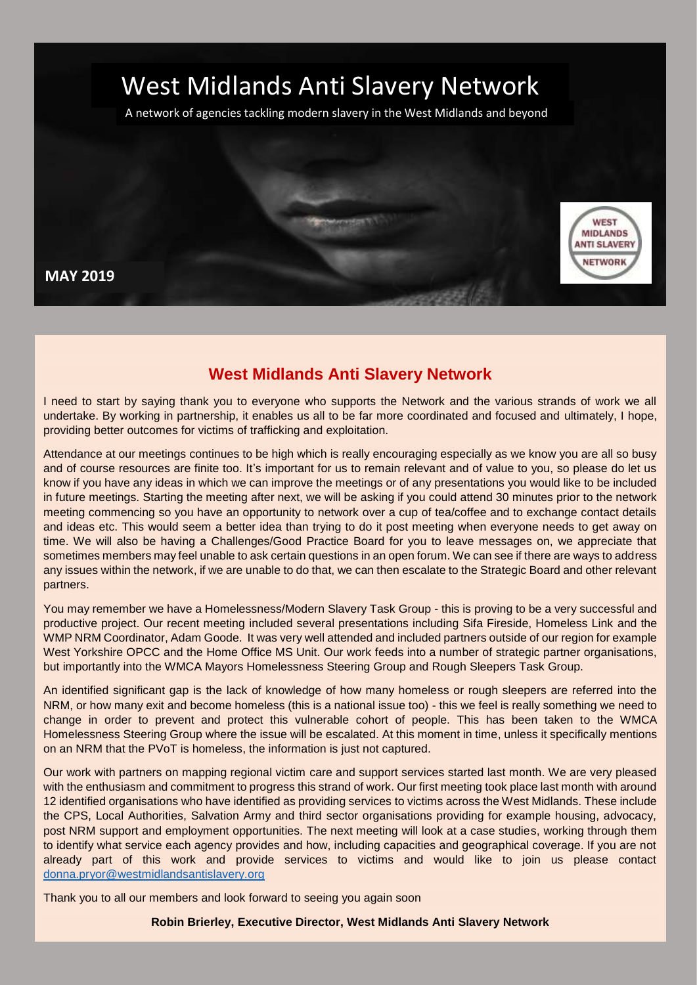

A network of agencies tackling modern slavery in the West Midlands and beyond



# **West Midlands Anti Slavery Network**

I need to start by saying thank you to everyone who supports the Network and the various strands of work we all undertake. By working in partnership, it enables us all to be far more coordinated and focused and ultimately, I hope, providing better outcomes for victims of trafficking and exploitation.

Attendance at our meetings continues to be high which is really encouraging especially as we know you are all so busy and of course resources are finite too. It's important for us to remain relevant and of value to you, so please do let us know if you have any ideas in which we can improve the meetings or of any presentations you would like to be included in future meetings. Starting the meeting after next, we will be asking if you could attend 30 minutes prior to the network meeting commencing so you have an opportunity to network over a cup of tea/coffee and to exchange contact details and ideas etc. This would seem a better idea than trying to do it post meeting when everyone needs to get away on time. We will also be having a Challenges/Good Practice Board for you to leave messages on, we appreciate that sometimes members may feel unable to ask certain questions in an open forum. We can see if there are ways to address any issues within the network, if we are unable to do that, we can then escalate to the Strategic Board and other relevant partners.

You may remember we have a Homelessness/Modern Slavery Task Group - this is proving to be a very successful and productive project. Our recent meeting included several presentations including Sifa Fireside, Homeless Link and the WMP NRM Coordinator, Adam Goode. It was very well attended and included partners outside of our region for example West Yorkshire OPCC and the Home Office MS Unit. Our work feeds into a number of strategic partner organisations, but importantly into the WMCA Mayors Homelessness Steering Group and Rough Sleepers Task Group.

An identified significant gap is the lack of knowledge of how many homeless or rough sleepers are referred into the NRM, or how many exit and become homeless (this is a national issue too) - this we feel is really something we need to change in order to prevent and protect this vulnerable cohort of people. This has been taken to the WMCA Homelessness Steering Group where the issue will be escalated. At this moment in time, unless it specifically mentions on an NRM that the PVoT is homeless, the information is just not captured.

Our work with partners on mapping regional victim care and support services started last month. We are very pleased with the enthusiasm and commitment to progress this strand of work. Our first meeting took place last month with around 12 identified organisations who have identified as providing services to victims across the West Midlands. These include the CPS, Local Authorities, Salvation Army and third sector organisations providing for example housing, advocacy, post NRM support and employment opportunities. The next meeting will look at a case studies, working through them to identify what service each agency provides and how, including capacities and geographical coverage. If you are not already part of this work and provide services to victims and would like to join us please contact [donna.pryor@westmidlandsantislavery.org](mailto:donna.pryor@westmidlandsantislavery.org)

Thank you to all our members and look forward to seeing you again soon

**Robin Brierley, Executive Director, West Midlands Anti Slavery Network**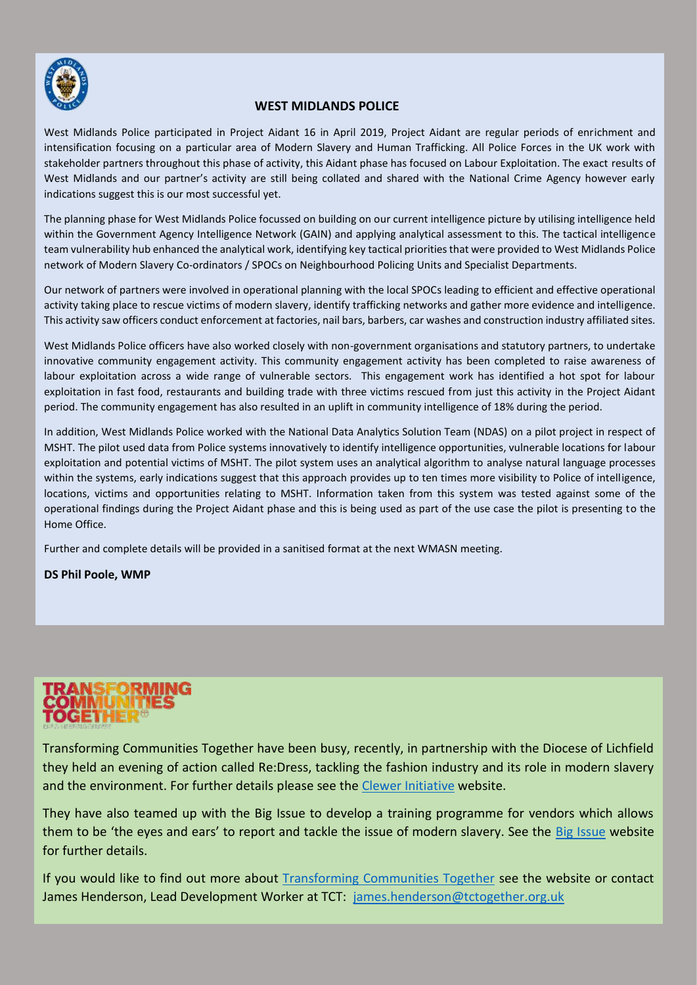

### **WEST MIDLANDS POLICE**

West Midlands Police participated in Project Aidant 16 in April 2019, Project Aidant are regular periods of enrichment and intensification focusing on a particular area of Modern Slavery and Human Trafficking. All Police Forces in the UK work with stakeholder partners throughout this phase of activity, this Aidant phase has focused on Labour Exploitation. The exact results of West Midlands and our partner's activity are still being collated and shared with the National Crime Agency however early indications suggest this is our most successful yet.

The planning phase for West Midlands Police focussed on building on our current intelligence picture by utilising intelligence held within the Government Agency Intelligence Network (GAIN) and applying analytical assessment to this. The tactical intelligence team vulnerability hub enhanced the analytical work, identifying key tactical priorities that were provided to West Midlands Police network of Modern Slavery Co-ordinators / SPOCs on Neighbourhood Policing Units and Specialist Departments.

Our network of partners were involved in operational planning with the local SPOCs leading to efficient and effective operational activity taking place to rescue victims of modern slavery, identify trafficking networks and gather more evidence and intelligence. This activity saw officers conduct enforcement at factories, nail bars, barbers, car washes and construction industry affiliated sites.

West Midlands Police officers have also worked closely with non-government organisations and statutory partners, to undertake innovative community engagement activity. This community engagement activity has been completed to raise awareness of labour exploitation across a wide range of vulnerable sectors. This engagement work has identified a hot spot for labour exploitation in fast food, restaurants and building trade with three victims rescued from just this activity in the Project Aidant period. The community engagement has also resulted in an uplift in community intelligence of 18% during the period.

In addition, West Midlands Police worked with the National Data Analytics Solution Team (NDAS) on a pilot project in respect of MSHT. The pilot used data from Police systems innovatively to identify intelligence opportunities, vulnerable locations for labour exploitation and potential victims of MSHT. The pilot system uses an analytical algorithm to analyse natural language processes within the systems, early indications suggest that this approach provides up to ten times more visibility to Police of intelligence, locations, victims and opportunities relating to MSHT. Information taken from this system was tested against some of the operational findings during the Project Aidant phase and this is being used as part of the use case the pilot is presenting to the Home Office.

Further and complete details will be provided in a sanitised format at the next WMASN meeting.

**DS Phil Poole, WMP**

Transforming Communities Together have been busy, recently, in partnership with the Diocese of Lichfield they held an evening of action called Re:Dress, tackling the fashion industry and its role in modern slavery and the environment. For further details please see the [Clewer Initiative](https://www.theclewerinitiative.org/news/2019/3/28/5-steps-to-hosting-an-ethical-fashion-show) website.

They have also teamed up with the Big Issue to develop a training programme for vendors which allows them to be 'the eyes and ears' to report and tackle the issue of modern slavery. See the [Big Issue](https://www.bigissue.com/latest/how-the-big-issue-is-tackling-modern-slavery/) website for further details.

If you would like to find out more about [Transforming Communities Together](https://tctogether.org.uk/) see the website or contact James Henderson, Lead Development Worker at TCT: [james.henderson@tctogether.org.uk](mailto:james.henderson@tctogether.org.uk)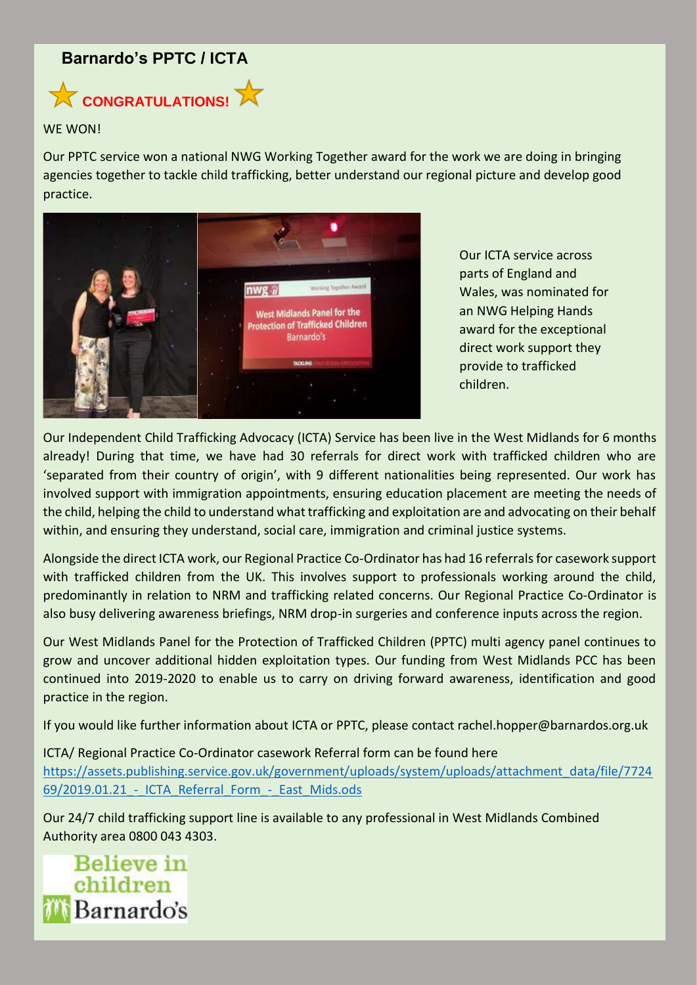## **Barnardo's PPTC / ICTA**



### WF WON!

Our PPTC service won a national NWG Working Together award for the work we are doing in bringing agencies together to tackle child trafficking, better understand our regional picture and develop good practice.



Our ICTA service across parts of England and Wales, was nominated for an NWG Helping Hands award for the exceptional direct work support they provide to trafficked children.

Our Independent Child Trafficking Advocacy (ICTA) Service has been live in the West Midlands for 6 months already! During that time, we have had 30 referrals for direct work with trafficked children who are 'separated from their country of origin', with 9 different nationalities being represented. Our work has involved support with immigration appointments, ensuring education placement are meeting the needs of the child, helping the child to understand what trafficking and exploitation are and advocating on their behalf within, and ensuring they understand, social care, immigration and criminal justice systems.

Alongside the direct ICTA work, our Regional Practice Co-Ordinator has had 16 referrals for casework support with trafficked children from the UK. This involves support to professionals working around the child, predominantly in relation to NRM and trafficking related concerns. Our Regional Practice Co-Ordinator is also busy delivering awareness briefings, NRM drop-in surgeries and conference inputs across the region.

Our West Midlands Panel for the Protection of Trafficked Children (PPTC) multi agency panel continues to grow and uncover additional hidden exploitation types. Our funding from West Midlands PCC has been continued into 2019-2020 to enable us to carry on driving forward awareness, identification and good practice in the region.

If you would like further information about ICTA or PPTC, please contact rachel.hopper@barnardos.org.uk

ICTA/ Regional Practice Co-Ordinator casework Referral form can be found here [https://assets.publishing.service.gov.uk/government/uploads/system/uploads/attachment\\_data/file/7724](https://assets.publishing.service.gov.uk/government/uploads/system/uploads/attachment_data/file/772469/2019.01.21_-_ICTA_Referral_Form_-_East_Mids.ods) 69/2019.01.21 - ICTA\_Referral\_Form\_-\_East\_Mids.ods

Our 24/7 child trafficking support line is available to any professional in West Midlands Combined Authority area 0800 043 4303.

**Believe in** children Barnardo's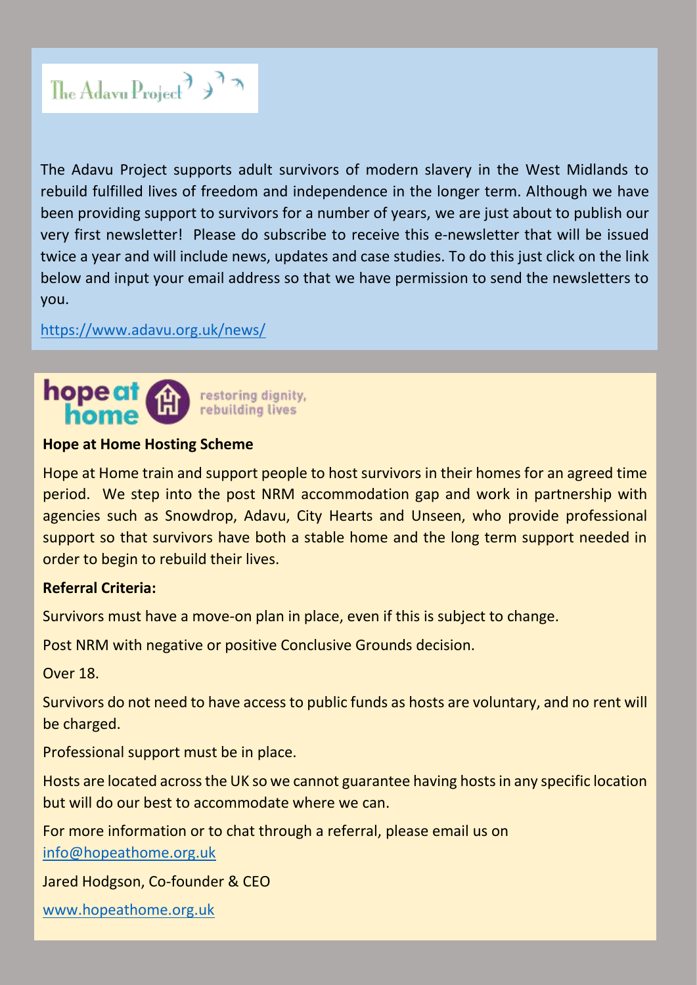

The Adavu Project supports adult survivors of modern slavery in the West Midlands to rebuild fulfilled lives of freedom and independence in the longer term. Although we have been providing support to survivors for a number of years, we are just about to publish our very first newsletter! Please do subscribe to receive this e-newsletter that will be issued twice a year and will include news, updates and case studies. To do this just click on the link below and input your email address so that we have permission to send the newsletters to you.

<https://www.adavu.org.uk/news/>



## **Hope at Home Hosting Scheme**

Hope at Home train and support people to host survivors in their homes for an agreed time period. We step into the post NRM accommodation gap and work in partnership with agencies such as Snowdrop, Adavu, City Hearts and Unseen, who provide professional support so that survivors have both a stable home and the long term support needed in order to begin to rebuild their lives.

## **Referral Criteria:**

Survivors must have a move-on plan in place, even if this is subject to change.

Post NRM with negative or positive Conclusive Grounds decision.

Over 18.

Survivors do not need to have access to public funds as hosts are voluntary, and no rent will be charged.

Professional support must be in place.

Hosts are located across the UK so we cannot guarantee having hosts in any specific location but will do our best to accommodate where we can.

For more information or to chat through a referral, please email us on [info@hopeathome.org.uk](mailto:info@hopeathome.org.uk)

Jared Hodgson, Co-founder & CEO

[www.hopeathome.org.uk](http://www.hopeathome.org.uk/)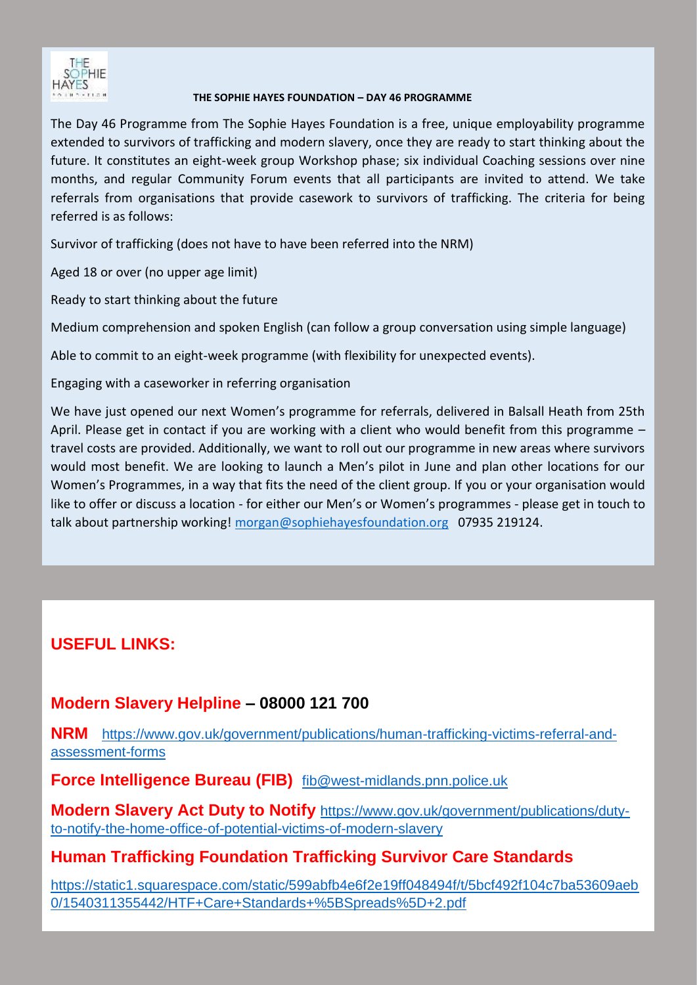

#### **THE SOPHIE HAYES FOUNDATION – DAY 46 PROGRAMME**

The Day 46 Programme from The Sophie Hayes Foundation is a free, unique employability programme extended to survivors of trafficking and modern slavery, once they are ready to start thinking about the future. It constitutes an eight-week group Workshop phase; six individual Coaching sessions over nine months, and regular Community Forum events that all participants are invited to attend. We take referrals from organisations that provide casework to survivors of trafficking. The criteria for being referred is as follows:

Survivor of trafficking (does not have to have been referred into the NRM)

Aged 18 or over (no upper age limit)

Ready to start thinking about the future

Medium comprehension and spoken English (can follow a group conversation using simple language)

Able to commit to an eight-week programme (with flexibility for unexpected events).

Engaging with a caseworker in referring organisation

We have just opened our next Women's programme for referrals, delivered in Balsall Heath from 25th April. Please get in contact if you are working with a client who would benefit from this programme – travel costs are provided. Additionally, we want to roll out our programme in new areas where survivors would most benefit. We are looking to launch a Men's pilot in June and plan other locations for our Women's Programmes, in a way that fits the need of the client group. If you or your organisation would like to offer or discuss a location - for either our Men's or Women's programmes - please get in touch to talk about partnership working! [morgan@sophiehayesfoundation.org](mailto:morgan@sophiehayesfoundation.org) 07935 219124.

# **USEFUL LINKS:**

# **Modern Slavery Helpline – 08000 121 700**

**NRM** [https://www.gov.uk/government/publications/human-trafficking-victims-referral-and](https://www.gov.uk/government/publications/human-trafficking-victims-referral-and-assessment-forms)[assessment-forms](https://www.gov.uk/government/publications/human-trafficking-victims-referral-and-assessment-forms)

**Force Intelligence Bureau (FIB)** [fib@west-midlands.pnn.police.uk](mailto:fib@west-midlands.pnn.police.uk)

**Modern Slavery Act Duty to Notify** [https://www.gov.uk/government/publications/duty](https://www.gov.uk/government/publications/duty-to-notify-the-home-office-of-potential-victims-of-modern-slavery)[to-notify-the-home-office-of-potential-victims-of-modern-slavery](https://www.gov.uk/government/publications/duty-to-notify-the-home-office-of-potential-victims-of-modern-slavery)

# **Human Trafficking Foundation Trafficking Survivor Care Standards**

[https://static1.squarespace.com/static/599abfb4e6f2e19ff048494f/t/5bcf492f104c7ba53609aeb](https://static1.squarespace.com/static/599abfb4e6f2e19ff048494f/t/5bcf492f104c7ba53609aeb0/1540311355442/HTF+Care+Standards+%5BSpreads%5D+2.pdf) [0/1540311355442/HTF+Care+Standards+%5BSpreads%5D+2.pdf](https://static1.squarespace.com/static/599abfb4e6f2e19ff048494f/t/5bcf492f104c7ba53609aeb0/1540311355442/HTF+Care+Standards+%5BSpreads%5D+2.pdf)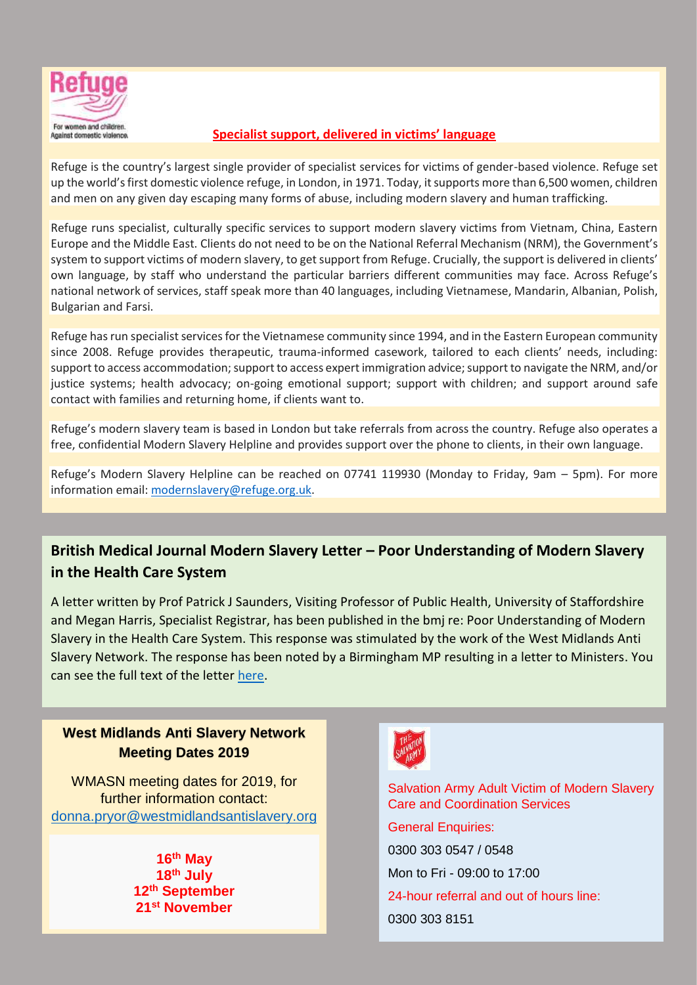

## *Against domestic violence*. **Specialist support, delivered in victims' language**

Refuge is the country's largest single provider of specialist services for victims of gender-based violence. Refuge set up the world's first domestic violence refuge, in London, in 1971. Today, it supports more than 6,500 women, children and men on any given day escaping many forms of abuse, including modern slavery and human trafficking.

Refuge runs specialist, culturally specific services to support modern slavery victims from Vietnam, China, Eastern Europe and the Middle East. Clients do not need to be on the National Referral Mechanism (NRM), the Government's system to support victims of modern slavery, to get support from Refuge. Crucially, the support is delivered in clients' own language, by staff who understand the particular barriers different communities may face. Across Refuge's national network of services, staff speak more than 40 languages, including Vietnamese, Mandarin, Albanian, Polish, Bulgarian and Farsi.

Refuge has run specialist services for the Vietnamese community since 1994, and in the Eastern European community since 2008. Refuge provides therapeutic, trauma-informed casework, tailored to each clients' needs, including: support to access accommodation; support to access expert immigration advice; support to navigate the NRM, and/or justice systems; health advocacy; on-going emotional support; support with children; and support around safe contact with families and returning home, if clients want to.

Refuge's modern slavery team is based in London but take referrals from across the country. Refuge also operates a free, confidential Modern Slavery Helpline and provides support over the phone to clients, in their own language.

Refuge's Modern Slavery Helpline can be reached on 07741 119930 (Monday to Friday, 9am – 5pm). For more information email: [modernslavery@refuge.org.uk.](mailto:modernslavery@refuge.org.uk)

**British Medical Journal Modern Slavery Letter – Poor Understanding of Modern Slavery in the Health Care System**

A letter written by Prof Patrick J Saunders, Visiting Professor of Public Health, University of Staffordshire and Megan Harris, Specialist Registrar, has been published in the bmj re: Poor Understanding of Modern Slavery in the Health Care System. This response was stimulated by the work of the West Midlands Anti Slavery Network. The response has been noted by a Birmingham MP resulting in a letter to Ministers. You can see the full text of the letter [here.](http://bmj.com/cgi/content/full/bmj.l1449?ijkey=fzkoVxT7YLPfUrA&keytype=ref)

## **West Midlands Anti Slavery Network Meeting Dates 2019**

WMASN meeting dates for 2019, for further information contact: [donna.pryor@westmidlandsantislavery.org](mailto:donna.pryor@westmidlandsantislavery.org) 

> **16th May 18th July 12th September 21st November**



Salvation Army Adult Victim of Modern Slavery Care and Coordination Services General Enquiries: 0300 303 0547 / 0548 Mon to Fri - 09:00 to 17:00 24-hour referral and out of hours line: 0300 303 8151